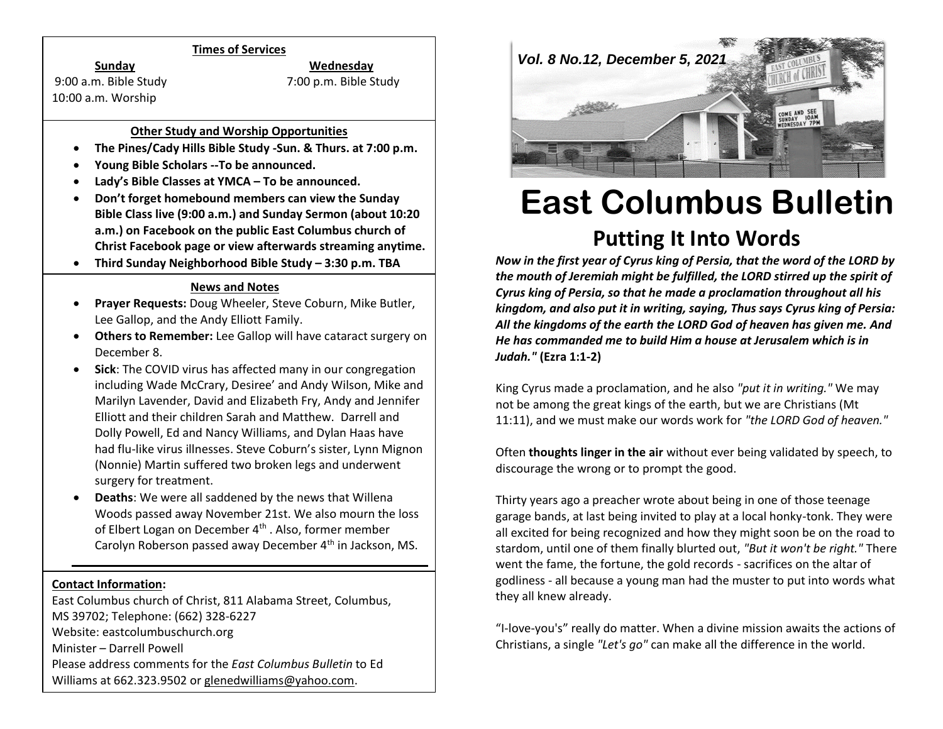#### **Times of Services**

9:00 a.m. Bible Study 7:00 p.m. Bible Study 10:00 a.m. Worship

**Sunday Wednesday**

## **Other Study and Worship Opportunities**

- **The Pines/Cady Hills Bible Study -Sun. & Thurs. at 7:00 p.m.**
- **Young Bible Scholars --To be announced.**
- **Lady's Bible Classes at YMCA – To be announced.**
- **Don't forget homebound members can view the Sunday Bible Class live (9:00 a.m.) and Sunday Sermon (about 10:20 a.m.) on Facebook on the public East Columbus church of Christ Facebook page or view afterwards streaming anytime.**
- **Third Sunday Neighborhood Bible Study – 3:30 p.m. TBA**

## **News and Notes**

- **Prayer Requests:** Doug Wheeler, Steve Coburn, Mike Butler, Lee Gallop, and the Andy Elliott Family.
- **Others to Remember:** Lee Gallop will have cataract surgery on December 8.
- **Sick**: The COVID virus has affected many in our congregation including Wade McCrary, Desiree' and Andy Wilson, Mike and Marilyn Lavender, David and Elizabeth Fry, Andy and Jennifer Elliott and their children Sarah and Matthew. Darrell and Dolly Powell, Ed and Nancy Williams, and Dylan Haas have had flu-like virus illnesses. Steve Coburn's sister, Lynn Mignon (Nonnie) Martin suffered two broken legs and underwent surgery for treatment.
- **Deaths**: We were all saddened by the news that Willena Woods passed away November 21st. We also mourn the loss of Elbert Logan on December 4<sup>th</sup>. Also, former member Carolyn Roberson passed away December 4<sup>th</sup> in Jackson, MS.

#### **Contact Information:**

East Columbus church of Christ, 811 Alabama Street, Columbus, MS 39702; Telephone: (662) 328-6227 Website: eastcolumbuschurch.org Minister – Darrell Powell Please address comments for the *East Columbus Bulletin* to Ed Williams at 662.323.9502 o[r glenedwilliams@yahoo.com.](mailto:glenedwilliams@yahoo.com)



# **East Columbus Bulletin Putting It Into Words**

*Now in the first year of Cyrus king of Persia, that the word of the LORD by the mouth of Jeremiah might be fulfilled, the LORD stirred up the spirit of Cyrus king of Persia, so that he made a proclamation throughout all his kingdom, and also put it in writing, saying, Thus says Cyrus king of Persia: All the kingdoms of the earth the LORD God of heaven has given me. And He has commanded me to build Him a house at Jerusalem which is in Judah."* **(Ezra 1:1-2)**

King Cyrus made a proclamation, and he also *"put it in writing."* We may not be among the great kings of the earth, but we are Christians (Mt 11:11), and we must make our words work for *"the LORD God of heaven."*

Often **thoughts linger in the air** without ever being validated by speech, to discourage the wrong or to prompt the good.

Thirty years ago a preacher wrote about being in one of those teenage garage bands, at last being invited to play at a local honky-tonk. They were all excited for being recognized and how they might soon be on the road to stardom, until one of them finally blurted out, *"But it won't be right."* There went the fame, the fortune, the gold records - sacrifices on the altar of godliness - all because a young man had the muster to put into words what they all knew already.

"I-love-you's" really do matter. When a divine mission awaits the actions of Christians, a single *"Let's go"* can make all the difference in the world.